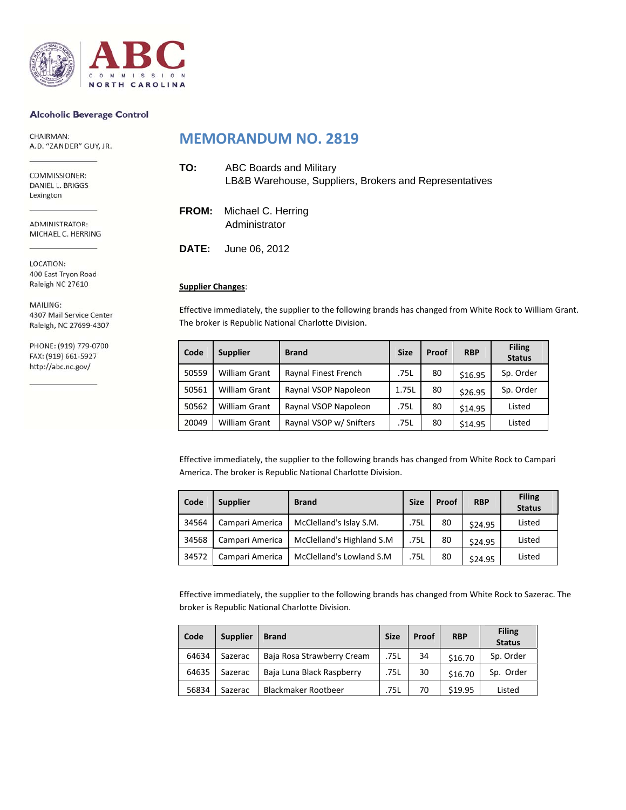

#### **Alcoholic Beverage Control**

CHAIRMAN: A.D. "ZANDER" GUY, JR.

COMMISSIONER: DANIEL L. BRIGGS Lexington

ADMINISTRATOR: MICHAEL C. HERRING

LOCATION: 400 East Tryon Road Raleigh NC 27610

MAILING: 4307 Mail Service Center Raleigh, NC 27699-4307

PHONE: (919) 779-0700 FAX: (919) 661-5927 http://abc.nc.gov/

### **MEMORANDUM NO. 2819**

| TO: | ABC Boards and Military<br>LB&B Warehouse, Suppliers, Brokers and Representatives |
|-----|-----------------------------------------------------------------------------------|
|     | <b>FROM:</b> Michael C. Herring<br>Administrator                                  |
|     | <b>DATE:</b> June 06, 2012                                                        |

### **Supplier Changes**:

Effective immediately, the supplier to the following brands has changed from White Rock to William Grant. The broker is Republic National Charlotte Division.

| Code  | <b>Supplier</b>      | <b>Brand</b>            | <b>Size</b> | Proof | <b>RBP</b> | <b>Filing</b><br><b>Status</b> |
|-------|----------------------|-------------------------|-------------|-------|------------|--------------------------------|
| 50559 | <b>William Grant</b> | Raynal Finest French    | .75L        | 80    | \$16.95    | Sp. Order                      |
| 50561 | <b>William Grant</b> | Raynal VSOP Napoleon    | 1.75L       | 80    | \$26.95    | Sp. Order                      |
| 50562 | <b>William Grant</b> | Raynal VSOP Napoleon    | .75L        | 80    | \$14.95    | Listed                         |
| 20049 | <b>William Grant</b> | Raynal VSOP w/ Snifters | .75L        | 80    | \$14.95    | Listed                         |

Effective immediately, the supplier to the following brands has changed from White Rock to Campari America. The broker is Republic National Charlotte Division.

| Code  | <b>Supplier</b> | <b>Brand</b>              | <b>Size</b> | Proof | <b>RBP</b> | <b>Filing</b><br><b>Status</b> |
|-------|-----------------|---------------------------|-------------|-------|------------|--------------------------------|
| 34564 | Campari America | McClelland's Islay S.M.   | .75L        | 80    | \$24.95    | Listed                         |
| 34568 | Campari America | McClelland's Highland S.M | .75L        | 80    | \$24.95    | Listed                         |
| 34572 | Campari America | McClelland's Lowland S.M. | .75L        | 80    | \$24.95    | Listed                         |

Effective immediately, the supplier to the following brands has changed from White Rock to Sazerac. The broker is Republic National Charlotte Division.

| Code  | <b>Supplier</b> | <b>Brand</b>               | <b>Size</b> | Proof | <b>RBP</b> | <b>Filing</b><br><b>Status</b> |
|-------|-----------------|----------------------------|-------------|-------|------------|--------------------------------|
| 64634 | Sazerac         | Baja Rosa Strawberry Cream | .75L        | 34    | \$16.70    | Sp. Order                      |
| 64635 | Sazerac         | Baja Luna Black Raspberry  | .75L        | 30    | \$16.70    | Sp. Order                      |
| 56834 | Sazerac         | <b>Blackmaker Rootbeer</b> | .75L        | 70    | \$19.95    | Listed                         |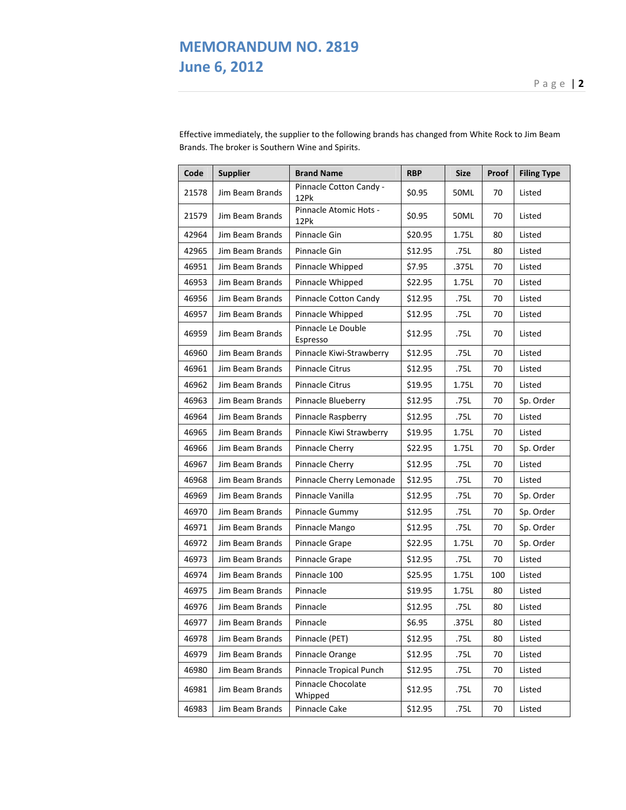### **MEMORANDUM NO. 2819 June 6, 2012**

**Code Supplier Brand Name RBP Size Proof Filing Type** 21578 Jim Beam Brands | Pinnacle Cotton Candy - $12$ Pk  $12$ Pk  $\left[\begin{array}{c|c} 12Pk & 12Pk \end{array}\right]$   $12$ Pk  $\left[\begin{array}{c|c} 12Pk & 12Pk \end{array}\right]$ 21579 Jim Beam Brands Pinnacle Atomic Hots - $12$ Pk  $12$ Pk  $\left[\begin{array}{c|c} 12Pk & 12Pk \end{array}\right]$   $12$ Pk  $\left[\begin{array}{c|c} 12Pk & 12Pk \end{array}\right]$ 42964 | Jim Beam Brands | Pinnacle Gin | \$20.95 | 1.75L | 80 | Listed 42965 Jim Beam Brands Pinnacle Gin \$12.95 .75L 80 Listed 46951 Jim Beam Brands Pinnacle Whipped \$7.95 .375L 70 Listed 46953 Jim Beam Brands Pinnacle Whipped \$22.95 1.75L 70 Listed 46956 Jim Beam Brands Pinnacle Cotton Candy \$12.95 .75L 70 Listed 46957 | Jim Beam Brands | Pinnacle Whipped | \$12.95 | .75L | 70 | Listed 46959 Jim Beam Brands Pinnacle Le Double Espresso \$12.95 .75L <sup>70</sup> Listed 46960 | Jim Beam Brands | Pinnacle Kiwi-Strawberry | \$12.95 | .75L | 70 | Listed 46961 Jim Beam Brands Pinnacle Citrus \$12.95 .75L 70 Listed 46962 Jim Beam Brands Pinnacle Citrus | \$19.95 | 1.75L | 70 | Listed 46963 Jim Beam Brands Pinnacle Blueberry \$12.95 .75L 70 Sp. Order 46964 Jim Beam Brands Pinnacle Raspberry \$12.95 .75L 70 Listed 46965 | Jim Beam Brands | Pinnacle Kiwi Strawberry | \$19.95 | 1.75L | 70 | Listed 46966 Jim Beam Brands Pinnacle Cherry \$22.95 1.75L 70 Sp. Order 46967 Jim Beam Brands Pinnacle Cherry \$12.95 .75L 70 Listed 46968 Jim Beam Brands Pinnacle Cherry Lemonade \$12.95 .75L 70 Listed 46969 Jim Beam Brands Pinnacle Vanilla \$12.95 .75L 70 Sp. Order 46970 Jim Beam Brands Pinnacle Gummy \$12.95 .75L 70 Sp. Order 46971 Jim Beam Brands Pinnacle Mango \$12.95 .75L 70 Sp. Order 46972 Jim Beam Brands Pinnacle Grape | \$22.95 | 1.75L | 70 | Sp. Order 46973 Jim Beam Brands Pinnacle Grape \$12.95 .75L 70 Listed 46974 | Jim Beam Brands | Pinnacle 100 | \$25.95 | 1.75L | 100 | Listed 46975 Jim Beam Brands Pinnacle \$19.95 1.75L 80 Listed 46976 Jim Beam Brands Pinnacle \$12.95 .75L 80 Listed 46977 | Jim Beam Brands | Pinnacle | \$6.95 | .375L | 80 | Listed 46978 Jim Beam Brands Pinnacle (PET) \$12.95 .75L 80 Listed 46979 Jim Beam Brands Pinnacle Orange \$12.95 .75L 70 Listed 46980 Jim Beam Brands Pinnacle Tropical Punch \$12.95 .75L 70 Listed 46981 Jim Beam Brands Pinnacle Chocolate Whipped \$12.95 .75L <sup>70</sup> Listed 46983 Jim Beam Brands Pinnacle Cake \$12.95 .75L 70 Listed

Effective immediately, the supplier to the following brands has changed from White Rock to Jim Beam Brands. The broker is Southern Wine and Spirits.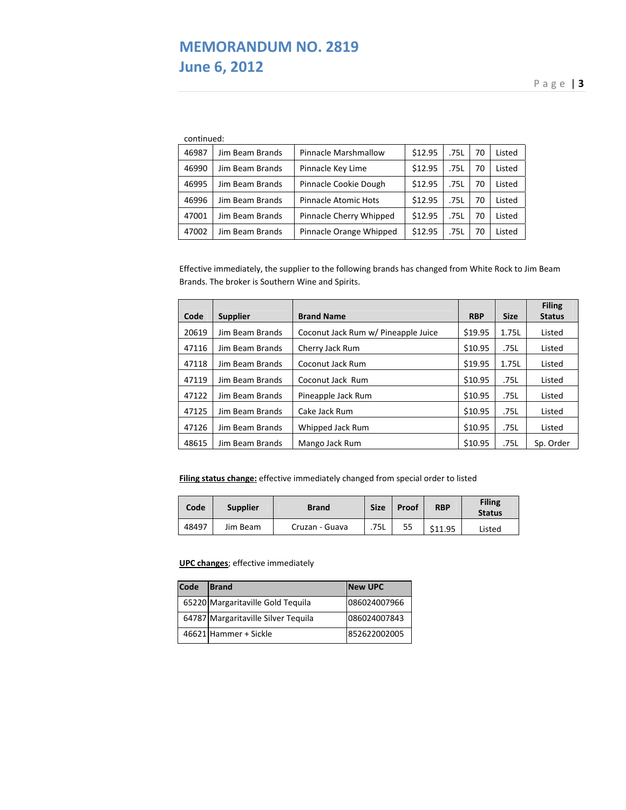# **MEMORANDUM NO. 2819 June 6, 2012**

Page | **3**

| continued: |
|------------|
|------------|

| 46987 | Jim Beam Brands | Pinnacle Marshmallow        | \$12.95 | .75L | 70 | Listed |
|-------|-----------------|-----------------------------|---------|------|----|--------|
| 46990 | Jim Beam Brands | Pinnacle Key Lime           | \$12.95 | .75L | 70 | Listed |
| 46995 | Jim Beam Brands | Pinnacle Cookie Dough       | \$12.95 | .75L | 70 | Listed |
| 46996 | Jim Beam Brands | <b>Pinnacle Atomic Hots</b> | \$12.95 | .75L | 70 | Listed |
| 47001 | Jim Beam Brands | Pinnacle Cherry Whipped     | \$12.95 | .75L | 70 | Listed |
| 47002 | Jim Beam Brands | Pinnacle Orange Whipped     | \$12.95 | .75L | 70 | Listed |

Effective immediately, the supplier to the following brands has changed from White Rock to Jim Beam Brands. The broker is Southern Wine and Spirits.

| Code  | <b>Supplier</b> | <b>Brand Name</b>                   | <b>RBP</b> | <b>Size</b> | <b>Filing</b><br><b>Status</b> |
|-------|-----------------|-------------------------------------|------------|-------------|--------------------------------|
| 20619 | Jim Beam Brands | Coconut Jack Rum w/ Pineapple Juice | \$19.95    | 1.75L       | Listed                         |
| 47116 | Jim Beam Brands | Cherry Jack Rum                     | \$10.95    | .75L        | Listed                         |
| 47118 | Jim Beam Brands | Coconut Jack Rum                    | \$19.95    | 1.75L       | Listed                         |
| 47119 | Jim Beam Brands | Coconut Jack Rum                    | \$10.95    | .75L        | Listed                         |
| 47122 | Jim Beam Brands | Pineapple Jack Rum                  | \$10.95    | .75L        | Listed                         |
| 47125 | Jim Beam Brands | Cake Jack Rum                       | \$10.95    | .75L        | Listed                         |
| 47126 | Jim Beam Brands | Whipped Jack Rum                    | \$10.95    | .75L        | Listed                         |
| 48615 | Jim Beam Brands | Mango Jack Rum                      | \$10.95    | .75L        | Sp. Order                      |

**Filing status change:** effective immediately changed from special order to listed

| Code  | <b>Supplier</b> | <b>Brand</b>   | <b>Size</b> | Proof | <b>RBP</b> | <b>Filing</b><br><b>Status</b> |
|-------|-----------------|----------------|-------------|-------|------------|--------------------------------|
| 48497 | Jim Beam        | Cruzan - Guava | .75L        | 55    | \$11.95    | Listed                         |

### **UPC changes**; effective immediately

| Code | <b>Brand</b>                        | <b>New UPC</b> |
|------|-------------------------------------|----------------|
|      | 65220 Margaritaville Gold Tequila   | 086024007966   |
|      | 64787 Margaritaville Silver Tequila | 086024007843   |
|      | 46621 Hammer + Sickle               | 852622002005   |